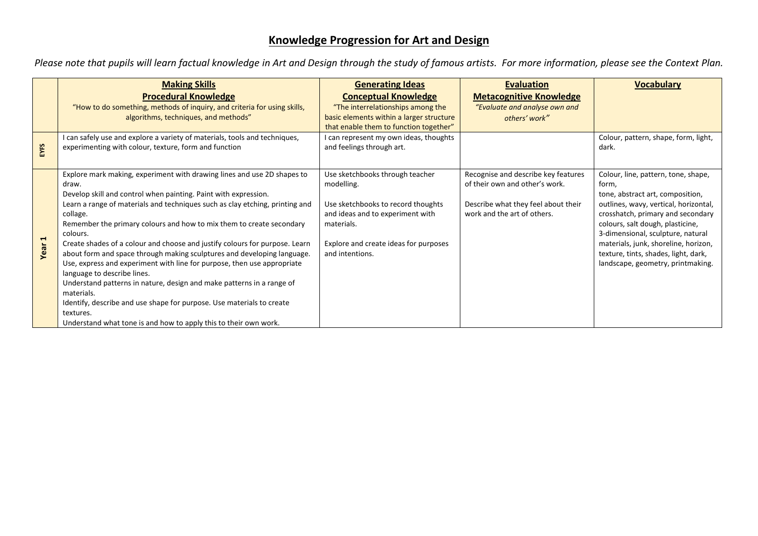## **Knowledge Progression for Art and Design**

*Please note that pupils will learn factual knowledge in Art and Design through the study of famous artists. For more information, please see the Context Plan.*

|        | <b>Making Skills</b><br><b>Procedural Knowledge</b><br>"How to do something, methods of inquiry, and criteria for using skills,                                                                                                                                                                                                                                                                                                                                                                                                                                                                                                                                                                                                                                                                                                                          | <b>Generating Ideas</b><br><b>Conceptual Knowledge</b><br>"The interrelationships among the                                                                                                       | <b>Evaluation</b><br><b>Metacognitive Knowledge</b><br>"Evaluate and analyse own and                                                        | <b>Vocabulary</b>                                                                                                                                                                                                                                                                                                                                            |
|--------|----------------------------------------------------------------------------------------------------------------------------------------------------------------------------------------------------------------------------------------------------------------------------------------------------------------------------------------------------------------------------------------------------------------------------------------------------------------------------------------------------------------------------------------------------------------------------------------------------------------------------------------------------------------------------------------------------------------------------------------------------------------------------------------------------------------------------------------------------------|---------------------------------------------------------------------------------------------------------------------------------------------------------------------------------------------------|---------------------------------------------------------------------------------------------------------------------------------------------|--------------------------------------------------------------------------------------------------------------------------------------------------------------------------------------------------------------------------------------------------------------------------------------------------------------------------------------------------------------|
|        | algorithms, techniques, and methods"                                                                                                                                                                                                                                                                                                                                                                                                                                                                                                                                                                                                                                                                                                                                                                                                                     | basic elements within a larger structure<br>that enable them to function together"                                                                                                                | others' work"                                                                                                                               |                                                                                                                                                                                                                                                                                                                                                              |
| EYFS   | can safely use and explore a variety of materials, tools and techniques,<br>experimenting with colour, texture, form and function                                                                                                                                                                                                                                                                                                                                                                                                                                                                                                                                                                                                                                                                                                                        | I can represent my own ideas, thoughts<br>and feelings through art.                                                                                                                               |                                                                                                                                             | Colour, pattern, shape, form, light,<br>dark.                                                                                                                                                                                                                                                                                                                |
| Year 1 | Explore mark making, experiment with drawing lines and use 2D shapes to<br>draw.<br>Develop skill and control when painting. Paint with expression.<br>Learn a range of materials and techniques such as clay etching, printing and<br>collage.<br>Remember the primary colours and how to mix them to create secondary<br>colours.<br>Create shades of a colour and choose and justify colours for purpose. Learn<br>about form and space through making sculptures and developing language.<br>Use, express and experiment with line for purpose, then use appropriate<br>language to describe lines.<br>Understand patterns in nature, design and make patterns in a range of<br>materials.<br>Identify, describe and use shape for purpose. Use materials to create<br>textures.<br>Understand what tone is and how to apply this to their own work. | Use sketchbooks through teacher<br>modelling.<br>Use sketchbooks to record thoughts<br>and ideas and to experiment with<br>materials.<br>Explore and create ideas for purposes<br>and intentions. | Recognise and describe key features<br>of their own and other's work.<br>Describe what they feel about their<br>work and the art of others. | Colour, line, pattern, tone, shape,<br>form,<br>tone, abstract art, composition,<br>outlines, wavy, vertical, horizontal,<br>crosshatch, primary and secondary<br>colours, salt dough, plasticine,<br>3-dimensional, sculpture, natural<br>materials, junk, shoreline, horizon,<br>texture, tints, shades, light, dark,<br>landscape, geometry, printmaking. |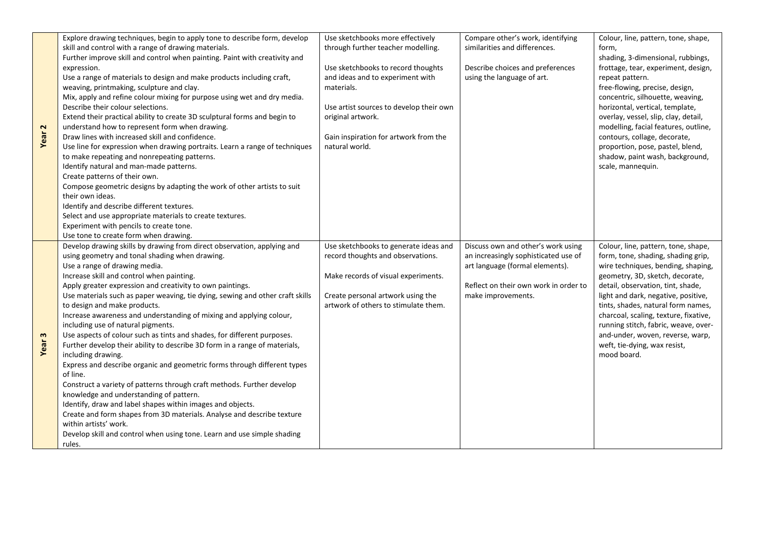|                   | Explore drawing techniques, begin to apply tone to describe form, develop     | Use sketchbooks more effectively        | Compare other's work, identifying     | Colour, line, pattern, tone, shape,   |
|-------------------|-------------------------------------------------------------------------------|-----------------------------------------|---------------------------------------|---------------------------------------|
|                   | skill and control with a range of drawing materials.                          | through further teacher modelling.      | similarities and differences.         | form,                                 |
|                   | Further improve skill and control when painting. Paint with creativity and    |                                         |                                       | shading, 3-dimensional, rubbings,     |
|                   | expression.                                                                   | Use sketchbooks to record thoughts      | Describe choices and preferences      | frottage, tear, experiment, design,   |
|                   | Use a range of materials to design and make products including craft,         | and ideas and to experiment with        | using the language of art.            | repeat pattern.                       |
|                   | weaving, printmaking, sculpture and clay.                                     | materials.                              |                                       | free-flowing, precise, design,        |
|                   | Mix, apply and refine colour mixing for purpose using wet and dry media.      |                                         |                                       | concentric, silhouette, weaving,      |
|                   | Describe their colour selections.                                             | Use artist sources to develop their own |                                       | horizontal, vertical, template,       |
| Year <sub>2</sub> | Extend their practical ability to create 3D sculptural forms and begin to     | original artwork.                       |                                       | overlay, vessel, slip, clay, detail,  |
|                   | understand how to represent form when drawing.                                |                                         |                                       | modelling, facial features, outline,  |
|                   | Draw lines with increased skill and confidence.                               | Gain inspiration for artwork from the   |                                       | contours, collage, decorate,          |
|                   | Use line for expression when drawing portraits. Learn a range of techniques   | natural world.                          |                                       | proportion, pose, pastel, blend,      |
|                   | to make repeating and nonrepeating patterns.                                  |                                         |                                       | shadow, paint wash, background,       |
|                   | Identify natural and man-made patterns.                                       |                                         |                                       | scale, mannequin.                     |
|                   | Create patterns of their own.                                                 |                                         |                                       |                                       |
|                   | Compose geometric designs by adapting the work of other artists to suit       |                                         |                                       |                                       |
|                   | their own ideas.                                                              |                                         |                                       |                                       |
|                   | Identify and describe different textures.                                     |                                         |                                       |                                       |
|                   | Select and use appropriate materials to create textures.                      |                                         |                                       |                                       |
|                   | Experiment with pencils to create tone.                                       |                                         |                                       |                                       |
|                   | Use tone to create form when drawing.                                         |                                         |                                       |                                       |
|                   | Develop drawing skills by drawing from direct observation, applying and       | Use sketchbooks to generate ideas and   | Discuss own and other's work using    | Colour, line, pattern, tone, shape,   |
|                   | using geometry and tonal shading when drawing.                                | record thoughts and observations.       | an increasingly sophisticated use of  | form, tone, shading, shading grip,    |
|                   | Use a range of drawing media.                                                 |                                         | art language (formal elements).       | wire techniques, bending, shaping,    |
|                   | Increase skill and control when painting.                                     | Make records of visual experiments.     |                                       | geometry, 3D, sketch, decorate,       |
|                   | Apply greater expression and creativity to own paintings.                     |                                         | Reflect on their own work in order to | detail, observation, tint, shade,     |
|                   | Use materials such as paper weaving, tie dying, sewing and other craft skills | Create personal artwork using the       | make improvements.                    | light and dark, negative, positive,   |
|                   | to design and make products.                                                  | artwork of others to stimulate them.    |                                       | tints, shades, natural form names,    |
|                   | Increase awareness and understanding of mixing and applying colour,           |                                         |                                       | charcoal, scaling, texture, fixative, |
|                   | including use of natural pigments.                                            |                                         |                                       | running stitch, fabric, weave, over-  |
|                   | Use aspects of colour such as tints and shades, for different purposes.       |                                         |                                       | and-under, woven, reverse, warp,      |
|                   |                                                                               |                                         |                                       |                                       |
| Year <sub>3</sub> | Further develop their ability to describe 3D form in a range of materials,    |                                         |                                       | weft, tie-dying, wax resist,          |
|                   | including drawing.                                                            |                                         |                                       | mood board.                           |
|                   | Express and describe organic and geometric forms through different types      |                                         |                                       |                                       |
|                   | of line.                                                                      |                                         |                                       |                                       |
|                   | Construct a variety of patterns through craft methods. Further develop        |                                         |                                       |                                       |
|                   | knowledge and understanding of pattern.                                       |                                         |                                       |                                       |
|                   | Identify, draw and label shapes within images and objects.                    |                                         |                                       |                                       |
|                   | Create and form shapes from 3D materials. Analyse and describe texture        |                                         |                                       |                                       |
|                   | within artists' work.                                                         |                                         |                                       |                                       |
|                   | Develop skill and control when using tone. Learn and use simple shading       |                                         |                                       |                                       |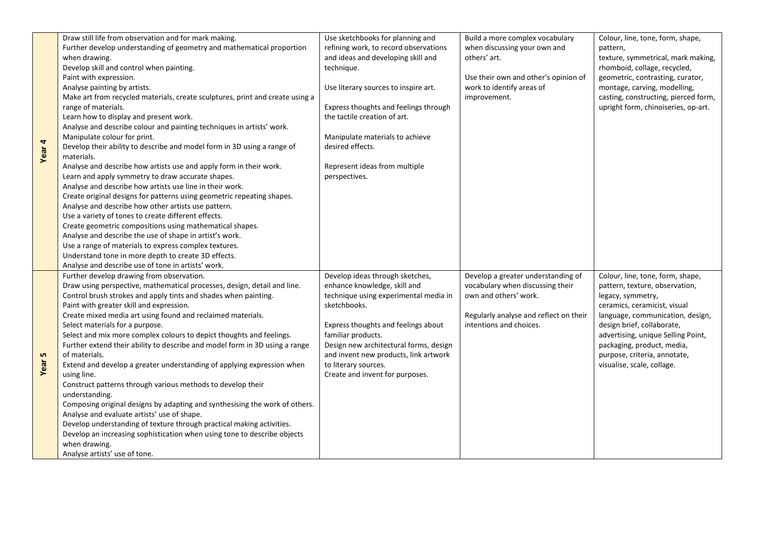| 4<br>Year | Draw still life from observation and for mark making.<br>Further develop understanding of geometry and mathematical proportion<br>when drawing.<br>Develop skill and control when painting.<br>Paint with expression.<br>Analyse painting by artists.<br>Make art from recycled materials, create sculptures, print and create using a<br>range of materials.<br>Learn how to display and present work.<br>Analyse and describe colour and painting techniques in artists' work.<br>Manipulate colour for print.<br>Develop their ability to describe and model form in 3D using a range of<br>materials.<br>Analyse and describe how artists use and apply form in their work.<br>Learn and apply symmetry to draw accurate shapes.<br>Analyse and describe how artists use line in their work.<br>Create original designs for patterns using geometric repeating shapes.<br>Analyse and describe how other artists use pattern.<br>Use a variety of tones to create different effects.<br>Create geometric compositions using mathematical shapes.<br>Analyse and describe the use of shape in artist's work. | Use sketchbooks for planning and<br>refining work, to record observations<br>and ideas and developing skill and<br>technique.<br>Use literary sources to inspire art.<br>Express thoughts and feelings through<br>the tactile creation of art.<br>Manipulate materials to achieve<br>desired effects.<br>Represent ideas from multiple<br>perspectives. | Build a more complex vocabulary<br>when discussing your own and<br>others' art.<br>Use their own and other's opinion of<br>work to identify areas of<br>improvement. | Colour, line, tone, form, shape,<br>pattern,<br>texture, symmetrical, mark making,<br>rhomboid, collage, recycled,<br>geometric, contrasting, curator,<br>montage, carving, modelling,<br>casting, constructing, pierced form,<br>upright form, chinoiseries, op-art. |
|-----------|-----------------------------------------------------------------------------------------------------------------------------------------------------------------------------------------------------------------------------------------------------------------------------------------------------------------------------------------------------------------------------------------------------------------------------------------------------------------------------------------------------------------------------------------------------------------------------------------------------------------------------------------------------------------------------------------------------------------------------------------------------------------------------------------------------------------------------------------------------------------------------------------------------------------------------------------------------------------------------------------------------------------------------------------------------------------------------------------------------------------|---------------------------------------------------------------------------------------------------------------------------------------------------------------------------------------------------------------------------------------------------------------------------------------------------------------------------------------------------------|----------------------------------------------------------------------------------------------------------------------------------------------------------------------|-----------------------------------------------------------------------------------------------------------------------------------------------------------------------------------------------------------------------------------------------------------------------|
|           | Use a range of materials to express complex textures.<br>Understand tone in more depth to create 3D effects.<br>Analyse and describe use of tone in artists' work.<br>Further develop drawing from observation.<br>Draw using perspective, mathematical processes, design, detail and line.<br>Control brush strokes and apply tints and shades when painting.                                                                                                                                                                                                                                                                                                                                                                                                                                                                                                                                                                                                                                                                                                                                                  | Develop ideas through sketches,<br>enhance knowledge, skill and<br>technique using experimental media in                                                                                                                                                                                                                                                | Develop a greater understanding of<br>vocabulary when discussing their<br>own and others' work.                                                                      | Colour, line, tone, form, shape,<br>pattern, texture, observation,<br>legacy, symmetry,                                                                                                                                                                               |
| m<br>Year | Paint with greater skill and expression.<br>Create mixed media art using found and reclaimed materials.<br>Select materials for a purpose.<br>Select and mix more complex colours to depict thoughts and feelings.<br>Further extend their ability to describe and model form in 3D using a range<br>of materials.<br>Extend and develop a greater understanding of applying expression when<br>using line.<br>Construct patterns through various methods to develop their<br>understanding.<br>Composing original designs by adapting and synthesising the work of others.<br>Analyse and evaluate artists' use of shape.<br>Develop understanding of texture through practical making activities.<br>Develop an increasing sophistication when using tone to describe objects<br>when drawing.<br>Analyse artists' use of tone.                                                                                                                                                                                                                                                                               | sketchbooks.<br>Express thoughts and feelings about<br>familiar products.<br>Design new architectural forms, design<br>and invent new products, link artwork<br>to literary sources.<br>Create and invent for purposes.                                                                                                                                 | Regularly analyse and reflect on their<br>intentions and choices.                                                                                                    | ceramics, ceramicist, visual<br>language, communication, design,<br>design brief, collaborate,<br>advertising, unique Selling Point,<br>packaging, product, media,<br>purpose, criteria, annotate,<br>visualise, scale, collage.                                      |